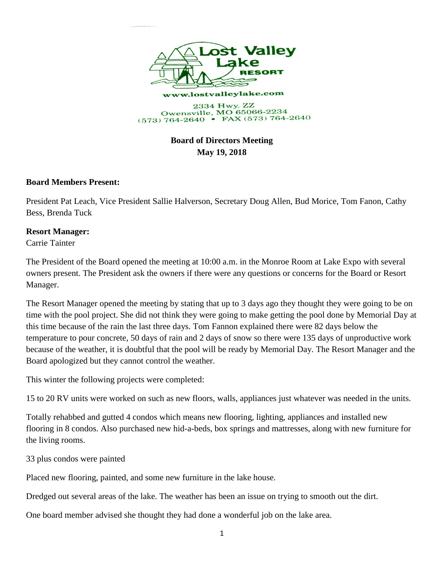

## **Board of Directors Meeting May 19, 2018**

## **Board Members Present:**

President Pat Leach, Vice President Sallie Halverson, Secretary Doug Allen, Bud Morice, Tom Fanon, Cathy Bess, Brenda Tuck

## **Resort Manager:**

Carrie Tainter

The President of the Board opened the meeting at 10:00 a.m. in the Monroe Room at Lake Expo with several owners present. The President ask the owners if there were any questions or concerns for the Board or Resort Manager.

The Resort Manager opened the meeting by stating that up to 3 days ago they thought they were going to be on time with the pool project. She did not think they were going to make getting the pool done by Memorial Day at this time because of the rain the last three days. Tom Fannon explained there were 82 days below the temperature to pour concrete, 50 days of rain and 2 days of snow so there were 135 days of unproductive work because of the weather, it is doubtful that the pool will be ready by Memorial Day. The Resort Manager and the Board apologized but they cannot control the weather.

This winter the following projects were completed:

15 to 20 RV units were worked on such as new floors, walls, appliances just whatever was needed in the units.

Totally rehabbed and gutted 4 condos which means new flooring, lighting, appliances and installed new flooring in 8 condos. Also purchased new hid-a-beds, box springs and mattresses, along with new furniture for the living rooms.

33 plus condos were painted

Placed new flooring, painted, and some new furniture in the lake house.

Dredged out several areas of the lake. The weather has been an issue on trying to smooth out the dirt.

One board member advised she thought they had done a wonderful job on the lake area.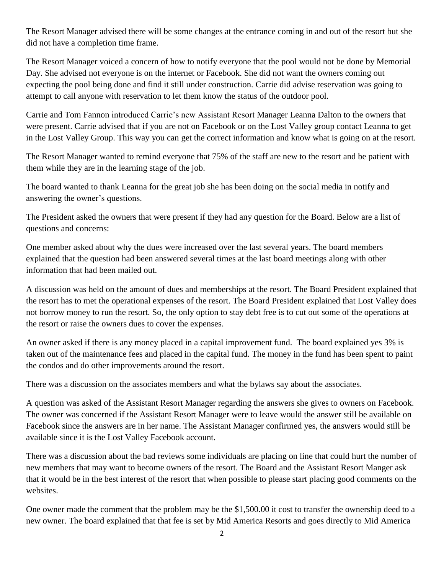The Resort Manager advised there will be some changes at the entrance coming in and out of the resort but she did not have a completion time frame.

The Resort Manager voiced a concern of how to notify everyone that the pool would not be done by Memorial Day. She advised not everyone is on the internet or Facebook. She did not want the owners coming out expecting the pool being done and find it still under construction. Carrie did advise reservation was going to attempt to call anyone with reservation to let them know the status of the outdoor pool.

Carrie and Tom Fannon introduced Carrie's new Assistant Resort Manager Leanna Dalton to the owners that were present. Carrie advised that if you are not on Facebook or on the Lost Valley group contact Leanna to get in the Lost Valley Group. This way you can get the correct information and know what is going on at the resort.

The Resort Manager wanted to remind everyone that 75% of the staff are new to the resort and be patient with them while they are in the learning stage of the job.

The board wanted to thank Leanna for the great job she has been doing on the social media in notify and answering the owner's questions.

The President asked the owners that were present if they had any question for the Board. Below are a list of questions and concerns:

One member asked about why the dues were increased over the last several years. The board members explained that the question had been answered several times at the last board meetings along with other information that had been mailed out.

A discussion was held on the amount of dues and memberships at the resort. The Board President explained that the resort has to met the operational expenses of the resort. The Board President explained that Lost Valley does not borrow money to run the resort. So, the only option to stay debt free is to cut out some of the operations at the resort or raise the owners dues to cover the expenses.

An owner asked if there is any money placed in a capital improvement fund. The board explained yes 3% is taken out of the maintenance fees and placed in the capital fund. The money in the fund has been spent to paint the condos and do other improvements around the resort.

There was a discussion on the associates members and what the bylaws say about the associates.

A question was asked of the Assistant Resort Manager regarding the answers she gives to owners on Facebook. The owner was concerned if the Assistant Resort Manager were to leave would the answer still be available on Facebook since the answers are in her name. The Assistant Manager confirmed yes, the answers would still be available since it is the Lost Valley Facebook account.

There was a discussion about the bad reviews some individuals are placing on line that could hurt the number of new members that may want to become owners of the resort. The Board and the Assistant Resort Manger ask that it would be in the best interest of the resort that when possible to please start placing good comments on the websites.

One owner made the comment that the problem may be the \$1,500.00 it cost to transfer the ownership deed to a new owner. The board explained that that fee is set by Mid America Resorts and goes directly to Mid America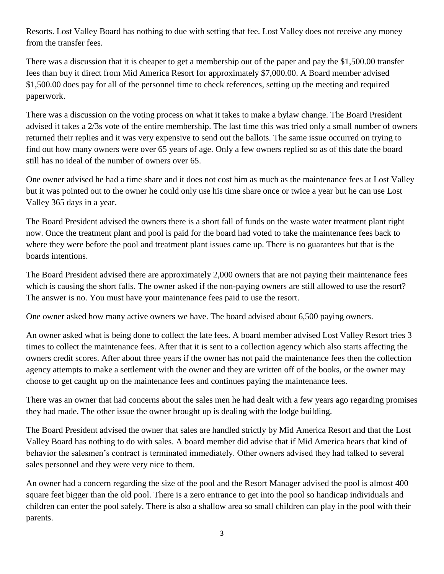Resorts. Lost Valley Board has nothing to due with setting that fee. Lost Valley does not receive any money from the transfer fees.

There was a discussion that it is cheaper to get a membership out of the paper and pay the \$1,500.00 transfer fees than buy it direct from Mid America Resort for approximately \$7,000.00. A Board member advised \$1,500.00 does pay for all of the personnel time to check references, setting up the meeting and required paperwork.

There was a discussion on the voting process on what it takes to make a bylaw change. The Board President advised it takes a 2/3s vote of the entire membership. The last time this was tried only a small number of owners returned their replies and it was very expensive to send out the ballots. The same issue occurred on trying to find out how many owners were over 65 years of age. Only a few owners replied so as of this date the board still has no ideal of the number of owners over 65.

One owner advised he had a time share and it does not cost him as much as the maintenance fees at Lost Valley but it was pointed out to the owner he could only use his time share once or twice a year but he can use Lost Valley 365 days in a year.

The Board President advised the owners there is a short fall of funds on the waste water treatment plant right now. Once the treatment plant and pool is paid for the board had voted to take the maintenance fees back to where they were before the pool and treatment plant issues came up. There is no guarantees but that is the boards intentions.

The Board President advised there are approximately 2,000 owners that are not paying their maintenance fees which is causing the short falls. The owner asked if the non-paying owners are still allowed to use the resort? The answer is no. You must have your maintenance fees paid to use the resort.

One owner asked how many active owners we have. The board advised about 6,500 paying owners.

An owner asked what is being done to collect the late fees. A board member advised Lost Valley Resort tries 3 times to collect the maintenance fees. After that it is sent to a collection agency which also starts affecting the owners credit scores. After about three years if the owner has not paid the maintenance fees then the collection agency attempts to make a settlement with the owner and they are written off of the books, or the owner may choose to get caught up on the maintenance fees and continues paying the maintenance fees.

There was an owner that had concerns about the sales men he had dealt with a few years ago regarding promises they had made. The other issue the owner brought up is dealing with the lodge building.

The Board President advised the owner that sales are handled strictly by Mid America Resort and that the Lost Valley Board has nothing to do with sales. A board member did advise that if Mid America hears that kind of behavior the salesmen's contract is terminated immediately. Other owners advised they had talked to several sales personnel and they were very nice to them.

An owner had a concern regarding the size of the pool and the Resort Manager advised the pool is almost 400 square feet bigger than the old pool. There is a zero entrance to get into the pool so handicap individuals and children can enter the pool safely. There is also a shallow area so small children can play in the pool with their parents.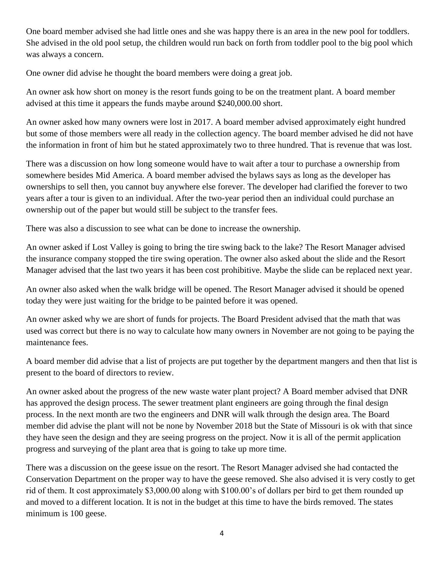One board member advised she had little ones and she was happy there is an area in the new pool for toddlers. She advised in the old pool setup, the children would run back on forth from toddler pool to the big pool which was always a concern.

One owner did advise he thought the board members were doing a great job.

An owner ask how short on money is the resort funds going to be on the treatment plant. A board member advised at this time it appears the funds maybe around \$240,000.00 short.

An owner asked how many owners were lost in 2017. A board member advised approximately eight hundred but some of those members were all ready in the collection agency. The board member advised he did not have the information in front of him but he stated approximately two to three hundred. That is revenue that was lost.

There was a discussion on how long someone would have to wait after a tour to purchase a ownership from somewhere besides Mid America. A board member advised the bylaws says as long as the developer has ownerships to sell then, you cannot buy anywhere else forever. The developer had clarified the forever to two years after a tour is given to an individual. After the two-year period then an individual could purchase an ownership out of the paper but would still be subject to the transfer fees.

There was also a discussion to see what can be done to increase the ownership.

An owner asked if Lost Valley is going to bring the tire swing back to the lake? The Resort Manager advised the insurance company stopped the tire swing operation. The owner also asked about the slide and the Resort Manager advised that the last two years it has been cost prohibitive. Maybe the slide can be replaced next year.

An owner also asked when the walk bridge will be opened. The Resort Manager advised it should be opened today they were just waiting for the bridge to be painted before it was opened.

An owner asked why we are short of funds for projects. The Board President advised that the math that was used was correct but there is no way to calculate how many owners in November are not going to be paying the maintenance fees.

A board member did advise that a list of projects are put together by the department mangers and then that list is present to the board of directors to review.

An owner asked about the progress of the new waste water plant project? A Board member advised that DNR has approved the design process. The sewer treatment plant engineers are going through the final design process. In the next month are two the engineers and DNR will walk through the design area. The Board member did advise the plant will not be none by November 2018 but the State of Missouri is ok with that since they have seen the design and they are seeing progress on the project. Now it is all of the permit application progress and surveying of the plant area that is going to take up more time.

There was a discussion on the geese issue on the resort. The Resort Manager advised she had contacted the Conservation Department on the proper way to have the geese removed. She also advised it is very costly to get rid of them. It cost approximately \$3,000.00 along with \$100.00's of dollars per bird to get them rounded up and moved to a different location. It is not in the budget at this time to have the birds removed. The states minimum is 100 geese.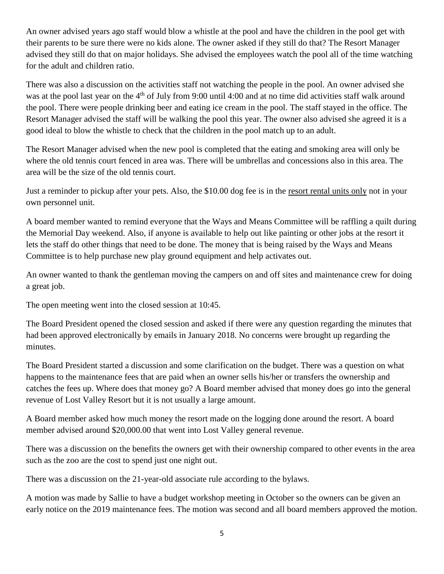An owner advised years ago staff would blow a whistle at the pool and have the children in the pool get with their parents to be sure there were no kids alone. The owner asked if they still do that? The Resort Manager advised they still do that on major holidays. She advised the employees watch the pool all of the time watching for the adult and children ratio.

There was also a discussion on the activities staff not watching the people in the pool. An owner advised she was at the pool last year on the 4<sup>th</sup> of July from 9:00 until 4:00 and at no time did activities staff walk around the pool. There were people drinking beer and eating ice cream in the pool. The staff stayed in the office. The Resort Manager advised the staff will be walking the pool this year. The owner also advised she agreed it is a good ideal to blow the whistle to check that the children in the pool match up to an adult.

The Resort Manager advised when the new pool is completed that the eating and smoking area will only be where the old tennis court fenced in area was. There will be umbrellas and concessions also in this area. The area will be the size of the old tennis court.

Just a reminder to pickup after your pets. Also, the \$10.00 dog fee is in the <u>resort rental units only</u> not in your own personnel unit.

A board member wanted to remind everyone that the Ways and Means Committee will be raffling a quilt during the Memorial Day weekend. Also, if anyone is available to help out like painting or other jobs at the resort it lets the staff do other things that need to be done. The money that is being raised by the Ways and Means Committee is to help purchase new play ground equipment and help activates out.

An owner wanted to thank the gentleman moving the campers on and off sites and maintenance crew for doing a great job.

The open meeting went into the closed session at 10:45.

The Board President opened the closed session and asked if there were any question regarding the minutes that had been approved electronically by emails in January 2018. No concerns were brought up regarding the minutes.

The Board President started a discussion and some clarification on the budget. There was a question on what happens to the maintenance fees that are paid when an owner sells his/her or transfers the ownership and catches the fees up. Where does that money go? A Board member advised that money does go into the general revenue of Lost Valley Resort but it is not usually a large amount.

A Board member asked how much money the resort made on the logging done around the resort. A board member advised around \$20,000.00 that went into Lost Valley general revenue.

There was a discussion on the benefits the owners get with their ownership compared to other events in the area such as the zoo are the cost to spend just one night out.

There was a discussion on the 21-year-old associate rule according to the bylaws.

A motion was made by Sallie to have a budget workshop meeting in October so the owners can be given an early notice on the 2019 maintenance fees. The motion was second and all board members approved the motion.